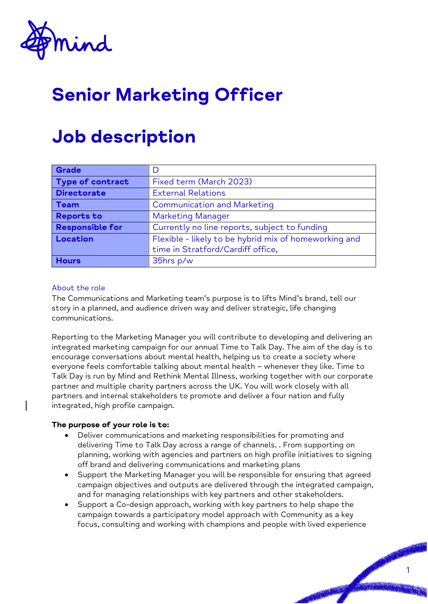

# Senior Marketing Officer

## Job description

| Grade                   | I)                                                    |
|-------------------------|-------------------------------------------------------|
| <b>Type of contract</b> | Fixed term (March 2023)                               |
| <b>Directorate</b>      | <b>External Relations</b>                             |
| <b>Team</b>             | <b>Communication and Marketing</b>                    |
| <b>Reports to</b>       | <b>Marketing Manager</b>                              |
| <b>Responsible for</b>  | Currently no line reports, subject to funding         |
| Location                | Flexible - likely to be hybrid mix of homeworking and |
|                         | time in Stratford/Cardiff office,                     |
| <b>Hours</b>            | 35hrs p/w                                             |

#### About the role

The Communications and Marketing team's purpose is to lifts Mind's brand, tell our story in a planned, and audience driven way and deliver strategic, life changing communications.

Reporting to the Marketing Manager you will contribute to developing and delivering an integrated marketing campaign for our annual Time to Talk Day. The aim of the day is to encourage conversations about mental health, helping us to create a society where everyone feels comfortable talking about mental health – whenever they like. Time to Talk Day is run by Mind and Rethink Mental Illness, working together with our corporate partner and multiple charity partners across the UK. You will work closely with all partners and internal stakeholders to promote and deliver a four nation and fully integrated, high profile campaign.

#### **The purpose of your role is to:**

- Deliver communications and marketing responsibilities for promoting and delivering Time to Talk Day across a range of channels. . From supporting on planning, working with agencies and partners on high profile initiatives to signing off brand and delivering communications and marketing plans
- Support the Marketing Manager you will be responsible for ensuring that agreed campaign objectives and outputs are delivered through the integrated campaign, and for managing relationships with key partners and other stakeholders.
- Support a Co-design approach, working with key partners to help shape the campaign towards a participatory model approach with Community as a key focus, consulting and working with champions and people with lived experience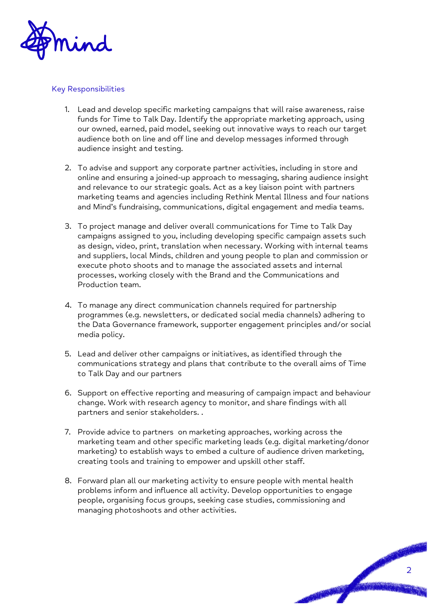

#### Key Responsibilities

- 1. Lead and develop specific marketing campaigns that will raise awareness, raise funds for Time to Talk Day. Identify the appropriate marketing approach, using our owned, earned, paid model, seeking out innovative ways to reach our target audience both on line and off line and develop messages informed through audience insight and testing.
- 2. To advise and support any corporate partner activities, including in store and online and ensuring a joined-up approach to messaging, sharing audience insight and relevance to our strategic goals. Act as a key liaison point with partners marketing teams and agencies including Rethink Mental Illness and four nations and Mind's fundraising, communications, digital engagement and media teams.
- 3. To project manage and deliver overall communications for Time to Talk Day campaigns assigned to you, including developing specific campaign assets such as design, video, print, translation when necessary. Working with internal teams and suppliers, local Minds, children and young people to plan and commission or execute photo shoots and to manage the associated assets and internal processes, working closely with the Brand and the Communications and Production team.
- 4. To manage any direct communication channels required for partnership programmes (e.g. newsletters, or dedicated social media channels) adhering to the Data Governance framework, supporter engagement principles and/or social media policy.
- 5. Lead and deliver other campaigns or initiatives, as identified through the communications strategy and plans that contribute to the overall aims of Time to Talk Day and our partners
- 6. Support on effective reporting and measuring of campaign impact and behaviour change. Work with research agency to monitor, and share findings with all partners and senior stakeholders. .
- 7. Provide advice to partners on marketing approaches, working across the marketing team and other specific marketing leads (e.g. digital marketing/donor marketing) to establish ways to embed a culture of audience driven marketing, creating tools and training to empower and upskill other staff.
- 8. Forward plan all our marketing activity to ensure people with mental health problems inform and influence all activity. Develop opportunities to engage people, organising focus groups, seeking case studies, commissioning and managing photoshoots and other activities.

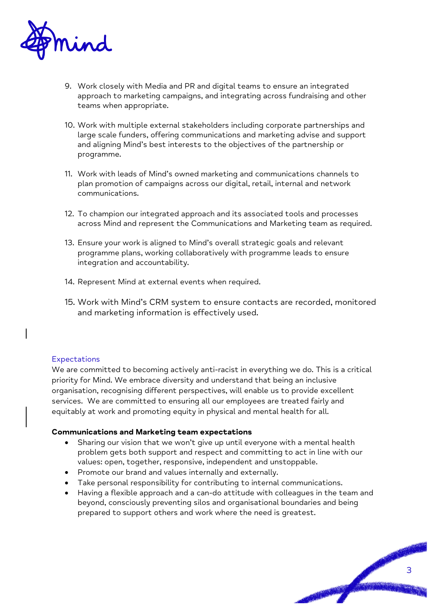

- 9. Work closely with Media and PR and digital teams to ensure an integrated approach to marketing campaigns, and integrating across fundraising and other teams when appropriate.
- 10. Work with multiple external stakeholders including corporate partnerships and large scale funders, offering communications and marketing advise and support and aligning Mind's best interests to the objectives of the partnership or programme.
- 11. Work with leads of Mind's owned marketing and communications channels to plan promotion of campaigns across our digital, retail, internal and network communications.
- 12. To champion our integrated approach and its associated tools and processes across Mind and represent the Communications and Marketing team as required.
- 13. Ensure your work is aligned to Mind's overall strategic goals and relevant programme plans, working collaboratively with programme leads to ensure integration and accountability.
- 14. Represent Mind at external events when required.
- 15. Work with Mind's CRM system to ensure contacts are recorded, monitored and marketing information is effectively used.

#### **Expectations**

We are committed to becoming actively anti-racist in everything we do. This is a critical priority for Mind. We embrace diversity and understand that being an inclusive organisation, recognising different perspectives, will enable us to provide excellent services. We are committed to ensuring all our employees are treated fairly and equitably at work and promoting equity in physical and mental health for all.

#### **Communications and Marketing team expectations**

- Sharing our vision that we won't give up until everyone with a mental health problem gets both support and respect and committing to act in line with our values: open, together, responsive, independent and unstoppable.
- Promote our brand and values internally and externally.
- Take personal responsibility for contributing to internal communications.
- Having a flexible approach and a can-do attitude with colleagues in the team and beyond, consciously preventing silos and organisational boundaries and being prepared to support others and work where the need is greatest.

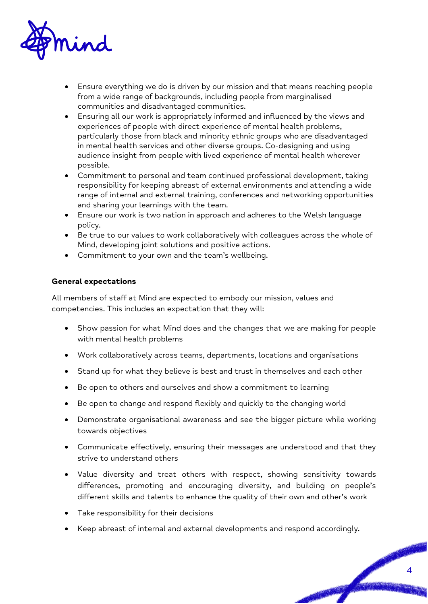

- Ensure everything we do is driven by our mission and that means reaching people from a wide range of backgrounds, including people from marginalised communities and disadvantaged communities.
- Ensuring all our work is appropriately informed and influenced by the views and experiences of people with direct experience of mental health problems, particularly those from black and minority ethnic groups who are disadvantaged in mental health services and other diverse groups. Co-designing and using audience insight from people with lived experience of mental health wherever possible.
- Commitment to personal and team continued professional development, taking responsibility for keeping abreast of external environments and attending a wide range of internal and external training, conferences and networking opportunities and sharing your learnings with the team.
- Ensure our work is two nation in approach and adheres to the Welsh language policy.
- Be true to our values to work collaboratively with colleagues across the whole of Mind, developing joint solutions and positive actions.
- Commitment to your own and the team's wellbeing.

#### **General expectations**

All members of staff at Mind are expected to embody our mission, values and competencies. This includes an expectation that they will:

- Show passion for what Mind does and the changes that we are making for people with mental health problems
- Work collaboratively across teams, departments, locations and organisations
- Stand up for what they believe is best and trust in themselves and each other
- Be open to others and ourselves and show a commitment to learning
- Be open to change and respond flexibly and quickly to the changing world
- Demonstrate organisational awareness and see the bigger picture while working towards objectives
- Communicate effectively, ensuring their messages are understood and that they strive to understand others
- Value diversity and treat others with respect, showing sensitivity towards differences, promoting and encouraging diversity, and building on people's different skills and talents to enhance the quality of their own and other's work
- Take responsibility for their decisions
- Keep abreast of internal and external developments and respond accordingly.

PASSAGE RE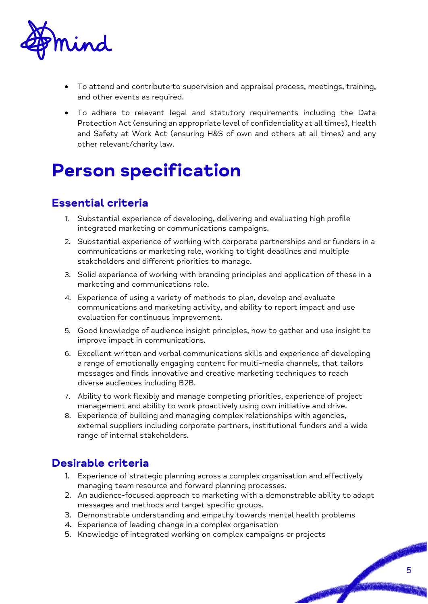

- To attend and contribute to supervision and appraisal process, meetings, training, and other events as required.
- To adhere to relevant legal and statutory requirements including the Data Protection Act (ensuring an appropriate level of confidentiality at all times), Health and Safety at Work Act (ensuring H&S of own and others at all times) and any other relevant/charity law.

## Person specification

### Essential criteria

- 1. Substantial experience of developing, delivering and evaluating high profile integrated marketing or communications campaigns.
- 2. Substantial experience of working with corporate partnerships and or funders in a communications or marketing role, working to tight deadlines and multiple stakeholders and different priorities to manage.
- 3. Solid experience of working with branding principles and application of these in a marketing and communications role.
- 4. Experience of using a variety of methods to plan, develop and evaluate communications and marketing activity, and ability to report impact and use evaluation for continuous improvement.
- 5. Good knowledge of audience insight principles, how to gather and use insight to improve impact in communications.
- 6. Excellent written and verbal communications skills and experience of developing a range of emotionally engaging content for multi-media channels, that tailors messages and finds innovative and creative marketing techniques to reach diverse audiences including B2B.
- 7. Ability to work flexibly and manage competing priorities, experience of project management and ability to work proactively using own initiative and drive.
- 8. Experience of building and managing complex relationships with agencies, external suppliers including corporate partners, institutional funders and a wide range of internal stakeholders.

### Desirable criteria

- 1. Experience of strategic planning across a complex organisation and effectively managing team resource and forward planning processes.
- 2. An audience-focused approach to marketing with a demonstrable ability to adapt messages and methods and target specific groups.
- 3. Demonstrable understanding and empathy towards mental health problems
- 4. Experience of leading change in a complex organisation
- 5. Knowledge of integrated working on complex campaigns or projects

PASSAGE RE

**RANCHO**